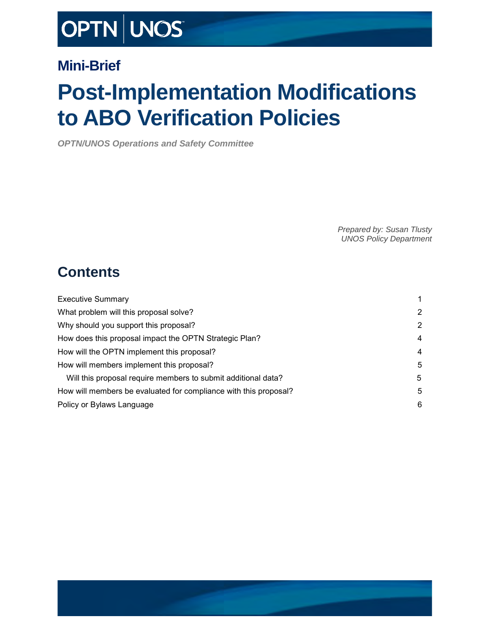# OPTN | UNOS

### **Mini-Brief**

# **Post-Implementation Modifications to ABO Verification Policies**

*OPTN/UNOS Operations and Safety Committee*

*Prepared by: Susan Tlusty UNOS Policy Department*

### **Contents**

| <b>Executive Summary</b>                                         | 1 |
|------------------------------------------------------------------|---|
| What problem will this proposal solve?                           | 2 |
| Why should you support this proposal?                            | 2 |
| How does this proposal impact the OPTN Strategic Plan?           | 4 |
| How will the OPTN implement this proposal?                       | 4 |
| How will members implement this proposal?                        | 5 |
| Will this proposal require members to submit additional data?    | 5 |
| How will members be evaluated for compliance with this proposal? | 5 |
| Policy or Bylaws Language                                        | 6 |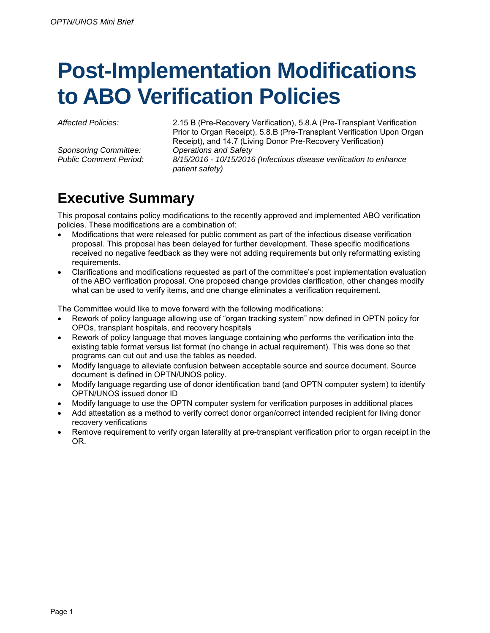# **Post-Implementation Modifications to ABO Verification Policies**

*Sponsoring Committee: Operations and Safety*

*Affected Policies:* 2.15 B (Pre-Recovery Verification), 5.8.A (Pre-Transplant Verification Prior to Organ Receipt), 5.8.B (Pre-Transplant Verification Upon Organ Receipt), and 14.7 (Living Donor Pre-Recovery Verification) *Public Comment Period: 8/15/2016 - 10/15/2016 (Infectious disease verification to enhance* 

## <span id="page-1-0"></span>**Executive Summary**

This proposal contains policy modifications to the recently approved and implemented ABO verification policies. These modifications are a combination of:

- Modifications that were released for public comment as part of the infectious disease verification proposal. This proposal has been delayed for further development. These specific modifications received no negative feedback as they were not adding requirements but only reformatting existing requirements.
- Clarifications and modifications requested as part of the committee's post implementation evaluation of the ABO verification proposal. One proposed change provides clarification, other changes modify what can be used to verify items, and one change eliminates a verification requirement.

The Committee would like to move forward with the following modifications:

*patient safety)*

- Rework of policy language allowing use of "organ tracking system" now defined in OPTN policy for OPOs, transplant hospitals, and recovery hospitals
- Rework of policy language that moves language containing who performs the verification into the existing table format versus list format (no change in actual requirement). This was done so that programs can cut out and use the tables as needed.
- Modify language to alleviate confusion between acceptable source and source document. Source document is defined in OPTN/UNOS policy.
- Modify language regarding use of donor identification band (and OPTN computer system) to identify OPTN/UNOS issued donor ID
- Modify language to use the OPTN computer system for verification purposes in additional places
- Add attestation as a method to verify correct donor organ/correct intended recipient for living donor recovery verifications
- Remove requirement to verify organ laterality at pre-transplant verification prior to organ receipt in the OR.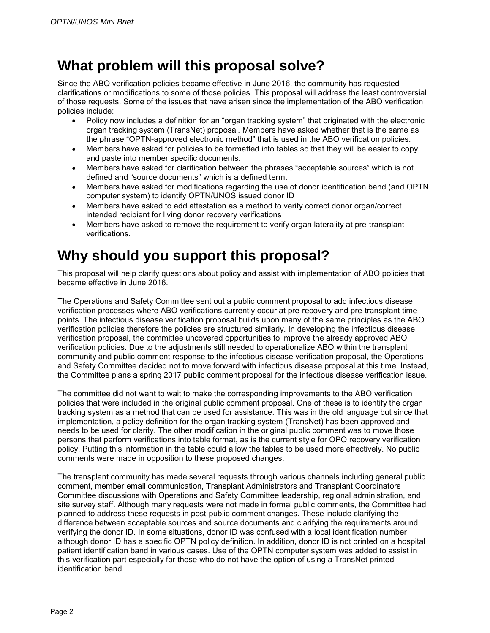### <span id="page-2-0"></span>**What problem will this proposal solve?**

Since the ABO verification policies became effective in June 2016, the community has requested clarifications or modifications to some of those policies. This proposal will address the least controversial of those requests. Some of the issues that have arisen since the implementation of the ABO verification policies include:

- Policy now includes a definition for an "organ tracking system" that originated with the electronic organ tracking system (TransNet) proposal. Members have asked whether that is the same as the phrase "OPTN-approved electronic method" that is used in the ABO verification policies.
- Members have asked for policies to be formatted into tables so that they will be easier to copy and paste into member specific documents.
- Members have asked for clarification between the phrases "acceptable sources" which is not defined and "source documents" which is a defined term.
- Members have asked for modifications regarding the use of donor identification band (and OPTN computer system) to identify OPTN/UNOS issued donor ID
- Members have asked to add attestation as a method to verify correct donor organ/correct intended recipient for living donor recovery verifications
- Members have asked to remove the requirement to verify organ laterality at pre-transplant verifications.

### <span id="page-2-1"></span>**Why should you support this proposal?**

This proposal will help clarify questions about policy and assist with implementation of ABO policies that became effective in June 2016.

The Operations and Safety Committee sent out a public comment proposal to add infectious disease verification processes where ABO verifications currently occur at pre-recovery and pre-transplant time points. The infectious disease verification proposal builds upon many of the same principles as the ABO verification policies therefore the policies are structured similarly. In developing the infectious disease verification proposal, the committee uncovered opportunities to improve the already approved ABO verification policies. Due to the adjustments still needed to operationalize ABO within the transplant community and public comment response to the infectious disease verification proposal, the Operations and Safety Committee decided not to move forward with infectious disease proposal at this time. Instead, the Committee plans a spring 2017 public comment proposal for the infectious disease verification issue.

The committee did not want to wait to make the corresponding improvements to the ABO verification policies that were included in the original public comment proposal. One of these is to identify the organ tracking system as a method that can be used for assistance. This was in the old language but since that implementation, a policy definition for the organ tracking system (TransNet) has been approved and needs to be used for clarity. The other modification in the original public comment was to move those persons that perform verifications into table format, as is the current style for OPO recovery verification policy. Putting this information in the table could allow the tables to be used more effectively. No public comments were made in opposition to these proposed changes.

The transplant community has made several requests through various channels including general public comment, member email communication, Transplant Administrators and Transplant Coordinators Committee discussions with Operations and Safety Committee leadership, regional administration, and site survey staff. Although many requests were not made in formal public comments, the Committee had planned to address these requests in post-public comment changes. These include clarifying the difference between acceptable sources and source documents and clarifying the requirements around verifying the donor ID. In some situations, donor ID was confused with a local identification number although donor ID has a specific OPTN policy definition. In addition, donor ID is not printed on a hospital patient identification band in various cases. Use of the OPTN computer system was added to assist in this verification part especially for those who do not have the option of using a TransNet printed identification band.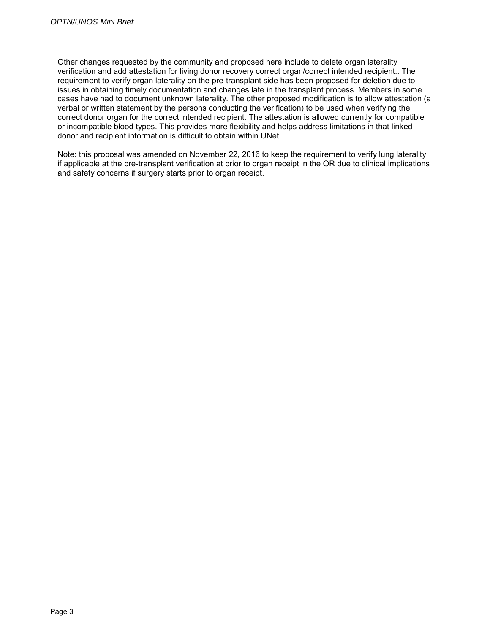Other changes requested by the community and proposed here include to delete organ laterality verification and add attestation for living donor recovery correct organ/correct intended recipient.. The requirement to verify organ laterality on the pre-transplant side has been proposed for deletion due to issues in obtaining timely documentation and changes late in the transplant process. Members in some cases have had to document unknown laterality. The other proposed modification is to allow attestation (a verbal or written statement by the persons conducting the verification) to be used when verifying the correct donor organ for the correct intended recipient. The attestation is allowed currently for compatible or incompatible blood types. This provides more flexibility and helps address limitations in that linked donor and recipient information is difficult to obtain within UNet.

Note: this proposal was amended on November 22, 2016 to keep the requirement to verify lung laterality if applicable at the pre-transplant verification at prior to organ receipt in the OR due to clinical implications and safety concerns if surgery starts prior to organ receipt.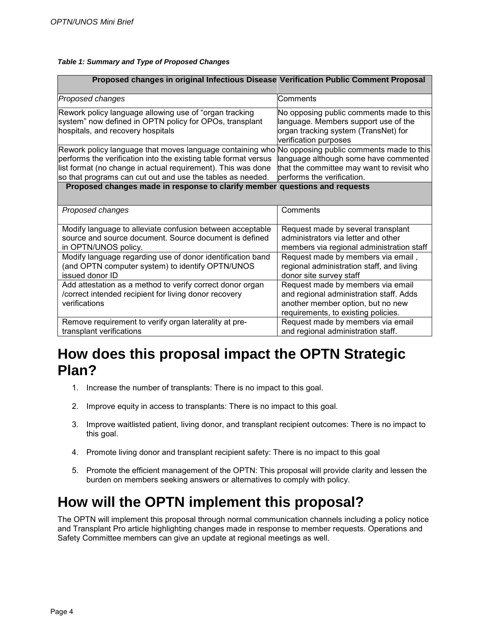#### *Table 1: Summary and Type of Proposed Changes*

| Proposed changes in original Infectious Disease Verification Public Comment Proposal                                                                                                                                                  |                                                                                                                                                          |
|---------------------------------------------------------------------------------------------------------------------------------------------------------------------------------------------------------------------------------------|----------------------------------------------------------------------------------------------------------------------------------------------------------|
| Proposed changes                                                                                                                                                                                                                      | Comments                                                                                                                                                 |
| Rework policy language allowing use of "organ tracking<br>system" now defined in OPTN policy for OPOs, transplant<br>hospitals, and recovery hospitals                                                                                | No opposing public comments made to this<br>language. Members support use of the<br>organ tracking system (TransNet) for<br>verification purposes        |
| Rework policy language that moves language containing who No opposing public comments made to this<br>performs the verification into the existing table format versus<br>list format (no change in actual requirement). This was done | language although some have commented<br>that the committee may want to revisit who                                                                      |
| so that programs can cut out and use the tables as needed.<br>Proposed changes made in response to clarify member questions and requests                                                                                              | performs the verification.                                                                                                                               |
|                                                                                                                                                                                                                                       |                                                                                                                                                          |
| Proposed changes                                                                                                                                                                                                                      | Comments                                                                                                                                                 |
| Modify language to alleviate confusion between acceptable<br>source and source document. Source document is defined<br>in OPTN/UNOS policy.                                                                                           | Request made by several transplant<br>administrators via letter and other<br>members via regional administration staff                                   |
| Modify language regarding use of donor identification band<br>(and OPTN computer system) to identify OPTN/UNOS<br>issued donor ID                                                                                                     | Request made by members via email,<br>regional administration staff, and living<br>donor site survey staff                                               |
| Add attestation as a method to verify correct donor organ<br>/correct intended recipient for living donor recovery<br>verifications                                                                                                   | Request made by members via email<br>and regional administration staff. Adds<br>another member option, but no new<br>requirements, to existing policies. |
| Remove requirement to verify organ laterality at pre-<br>transplant verifications                                                                                                                                                     | Request made by members via email<br>and regional administration staff.                                                                                  |

### <span id="page-4-0"></span>**How does this proposal impact the OPTN Strategic Plan?**

- 1. Increase the number of transplants: There is no impact to this goal.
- 2. Improve equity in access to transplants: There is no impact to this goal.
- 3. Improve waitlisted patient, living donor, and transplant recipient outcomes: There is no impact to this goal.
- 4. Promote living donor and transplant recipient safety: There is no impact to this goal
- 5. Promote the efficient management of the OPTN: This proposal will provide clarity and lessen the burden on members seeking answers or alternatives to comply with policy.

### <span id="page-4-1"></span>**How will the OPTN implement this proposal?**

The OPTN will implement this proposal through normal communication channels including a policy notice and Transplant Pro article highlighting changes made in response to member requests. Operations and Safety Committee members can give an update at regional meetings as well.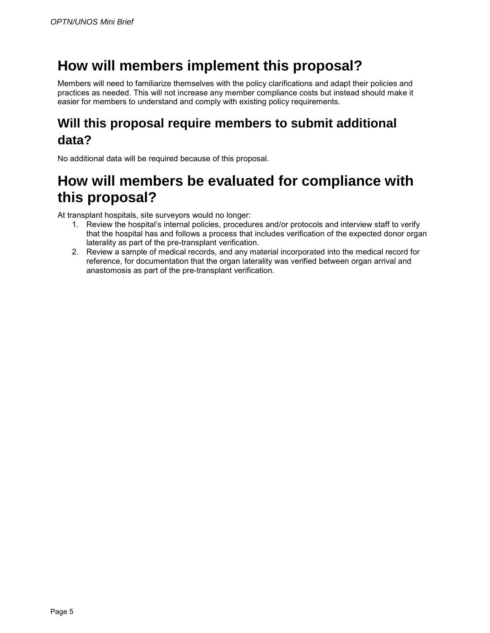## <span id="page-5-0"></span>**How will members implement this proposal?**

Members will need to familiarize themselves with the policy clarifications and adapt their policies and practices as needed. This will not increase any member compliance costs but instead should make it easier for members to understand and comply with existing policy requirements.

#### <span id="page-5-1"></span>**Will this proposal require members to submit additional data?**

No additional data will be required because of this proposal.

### <span id="page-5-2"></span>**How will members be evaluated for compliance with this proposal?**

At transplant hospitals, site surveyors would no longer:

- 1. Review the hospital's internal policies, procedures and/or protocols and interview staff to verify that the hospital has and follows a process that includes verification of the expected donor organ laterality as part of the pre-transplant verification.
- 2. Review a sample of medical records, and any material incorporated into the medical record for reference, for documentation that the organ laterality was verified between organ arrival and anastomosis as part of the pre-transplant verification.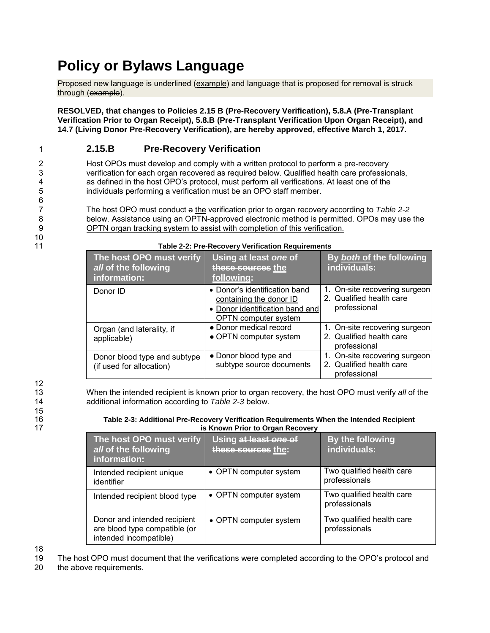## <span id="page-6-0"></span>**Policy or Bylaws Language**

Proposed new language is underlined (example) and language that is proposed for removal is struck through (example).

**RESOLVED, that changes to Policies 2.15 B (Pre-Recovery Verification), 5.8.A (Pre-Transplant Verification Prior to Organ Receipt), 5.8.B (Pre-Transplant Verification Upon Organ Receipt), and 14.7 (Living Donor Pre-Recovery Verification), are hereby approved, effective March 1, 2017.**

#### 1 **2.15.B Pre-Recovery Verification**

2 Host OPOs must develop and comply with a written protocol to perform a pre-recovery<br>3 verification for each organ recovered as required below. Qualified health care professio 3 verification for each organ recovered as required below. Qualified health care professionals,<br>4 a sa defined in the host OPO's protocol, must perform all verifications. At least one of the 4 as defined in the host OPO's protocol, must perform all verifications. At least one of the 45 individuals performing a verification must be an OPO staff member. individuals performing a verification must be an OPO staff member.

7 The host OPO must conduct a the verification prior to organ recovery according to *Table 2-2*  8 below. Assistance using an OPTN-approved electronic method is permitted. OPOs may use the 9 OPTN organ tracking system to assist with completion of this verification.

> **The host OPO must verify**  *all* **of the following information: Using at least** *one* **of these sources the following: By** *both* **of the following individuals:** Donor ID **• Donor's identification band** containing the donor ID • Donor identification band and OPTN computer system 1. On-site recovering surgeon 2. Qualified health care professional Organ (and laterality, if applicable) ● Donor medical record • OPTN computer system 1. On-site recovering surgeon 2. Qualified health care professional Donor blood type and subtype (if used for allocation) • Donor blood type and subtype source documents 1. On-site recovering surgeon 2. Qualified health care professional

#### 11 **Table 2-2: Pre-Recovery Verification Requirements**

12 15

6<br>7

 $10$ <br> $11$ 

13 When the intended recipient is known prior to organ recovery, the host OPO must verify *all* of the 14 additional information according to *Table 2-3* below.

#### 16 **Table 2-3: Additional Pre-Recovery Verification Requirements When the Intended Recipient**  17 **is Known Prior to Organ Recovery**

| The host OPO must verify<br>all of the following<br>information:                        | Using at least one of<br>these sources the: | By the following<br>individuals:           |
|-----------------------------------------------------------------------------------------|---------------------------------------------|--------------------------------------------|
| Intended recipient unique<br>identifier                                                 | • OPTN computer system                      | Two qualified health care<br>professionals |
| Intended recipient blood type                                                           | • OPTN computer system                      | Two qualified health care<br>professionals |
| Donor and intended recipient<br>are blood type compatible (or<br>intended incompatible) | • OPTN computer system                      | Two qualified health care<br>professionals |

18<br>19

19 The host OPO must document that the verifications were completed according to the OPO's protocol and 20 the above requirements.

the above requirements.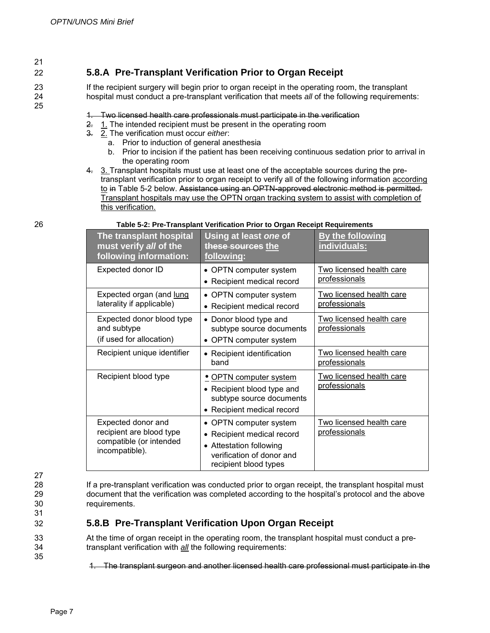21

25

#### 22 **5.8.A Pre-Transplant Verification Prior to Organ Receipt**

23 If the recipient surgery will begin prior to organ receipt in the operating room, the transplant 24 hospital must conduct a pre-transplant verification that meets *all* of the following requirements:

#### 1. Two licensed health care professionals must participate in the verification

- 2. 1. The intended recipient must be present in the operating room
- 3. 2. The verification must occur *either*:
	- a. Prior to induction of general anesthesia
	- b. Prior to incision if the patient has been receiving continuous sedation prior to arrival in the operating room
- 4. 3. Transplant hospitals must use at least one of the acceptable sources during the pretransplant verification prior to organ receipt to verify all of the following information according to in Table 5-2 below. Assistance using an OPTN-approved electronic method is permitted. Transplant hospitals may use the OPTN organ tracking system to assist with completion of this verification.

| The transplant hospital<br>must verify all of the<br>following information:                 | Using at least one of<br>these sources the<br>following:                                                                                              | By the following<br>individuals:                 |
|---------------------------------------------------------------------------------------------|-------------------------------------------------------------------------------------------------------------------------------------------------------|--------------------------------------------------|
| Expected donor ID                                                                           | OPTN computer system<br>Recipient medical record                                                                                                      | Two licensed health care<br>professionals        |
| Expected organ (and lung<br>laterality if applicable)                                       | • OPTN computer system<br>Recipient medical record                                                                                                    | Two licensed health care<br>professionals        |
| Expected donor blood type<br>and subtype<br>(if used for allocation)                        | • Donor blood type and<br>subtype source documents<br>OPTN computer system                                                                            | <b>Two licensed health care</b><br>professionals |
| Recipient unique identifier                                                                 | • Recipient identification<br>band                                                                                                                    | Two licensed health care<br>professionals        |
| Recipient blood type                                                                        | <u>• OPTN computer system</u><br>• Recipient blood type and<br>subtype source documents<br>• Recipient medical record                                 | Two licensed health care<br>professionals        |
| Expected donor and<br>recipient are blood type<br>compatible (or intended<br>incompatible). | • OPTN computer system<br>Recipient medical record<br><b>Attestation following</b><br>$\bullet$<br>verification of donor and<br>recipient blood types | Two licensed health care<br>professionals        |

#### 26 **Table 5-2: Pre-Transplant Verification Prior to Organ Receipt Requirements**

27

31

35

28 If a pre-transplant verification was conducted prior to organ receipt, the transplant hospital must<br>29 document that the verification was completed according to the hospital's protocol and the above 29 document that the verification was completed according to the hospital's protocol and the above 30 requirements.

#### 32 **5.8.B Pre-Transplant Verification Upon Organ Receipt**

33 At the time of organ receipt in the operating room, the transplant hospital must conduct a pre-34 transplant verification with *all* the following requirements:

1. The transplant surgeon and another licensed health care professional must participate in the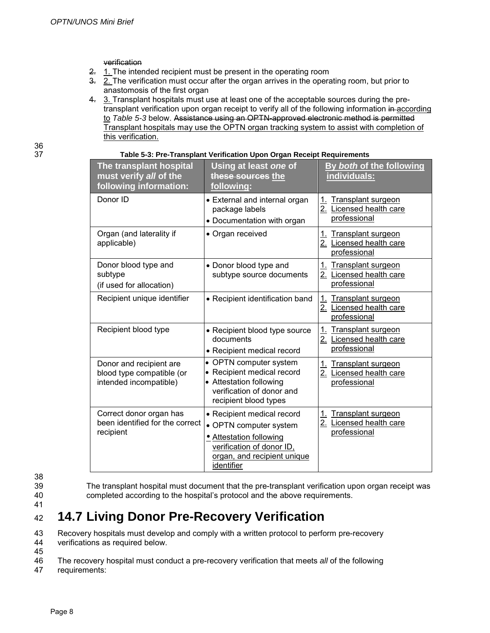verification

- 2. 1. The intended recipient must be present in the operating room
- $\overline{3}$ .  $\overline{2}$ . The verification must occur after the organ arrives in the operating room, but prior to anastomosis of the first organ
- 4. 3. Transplant hospitals must use at least one of the acceptable sources during the pretransplant verification upon organ receipt to verify all of the following information in according to *Table 5-3* below. Assistance using an OPTN-approved electronic method is permitted Transplant hospitals may use the OPTN organ tracking system to assist with completion of this verification.

| ×<br>I<br>۰,<br>×<br>٠ | I<br>× |
|------------------------|--------|
| ×                      |        |

| The transplant hospital<br>must verify all of the<br>following information:    | Using at least one of<br>these sources the<br>following:                                                                                                  | By both of the following<br>individuals:                                   |
|--------------------------------------------------------------------------------|-----------------------------------------------------------------------------------------------------------------------------------------------------------|----------------------------------------------------------------------------|
| Donor ID                                                                       | • External and internal organ<br>package labels<br>• Documentation with organ                                                                             | <b>Transplant surgeon</b><br>1.<br>2. Licensed health care<br>professional |
| Organ (and laterality if<br>applicable)                                        | • Organ received                                                                                                                                          | Transplant surgeon<br>1.<br>2.<br>Licensed health care<br>professional     |
| Donor blood type and<br>subtype<br>(if used for allocation)                    | • Donor blood type and<br>subtype source documents                                                                                                        | Transplant surgeon<br>1.<br>2. Licensed health care<br>professional        |
| Recipient unique identifier                                                    | • Recipient identification band                                                                                                                           | 1.<br><b>Transplant surgeon</b><br>2. Licensed health care<br>professional |
| Recipient blood type                                                           | • Recipient blood type source<br>documents<br>• Recipient medical record                                                                                  | <b>Transplant surgeon</b><br>1.<br>2. Licensed health care<br>professional |
| Donor and recipient are<br>blood type compatible (or<br>intended incompatible) | • OPTN computer system<br>• Recipient medical record<br>• Attestation following<br>verification of donor and<br>recipient blood types                     | 1.<br><b>Transplant surgeon</b><br>2. Licensed health care<br>professional |
| Correct donor organ has<br>been identified for the correct<br>recipient        | • Recipient medical record<br>• OPTN computer system<br>• Attestation following<br>verification of donor ID,<br>organ, and recipient unique<br>identifier | <b>Transplant surgeon</b><br>1.<br>2. Licensed health care<br>professional |

37 **Table 5-3: Pre-Transplant Verification Upon Organ Receipt Requirements**

- 38
- 
- 39 The transplant hospital must document that the pre-transplant verification upon organ receipt was 40 completed according to the hospital's protocol and the above requirements.
- 41

#### <sup>42</sup> **14.7 Living Donor Pre-Recovery Verification**

- 43 Recovery hospitals must develop and comply with a written protocol to perform pre-recovery
- 44 verifications as required below. 45
- 46 The recovery hospital must conduct a pre-recovery verification that meets *all* of the following
- 47 requirements: